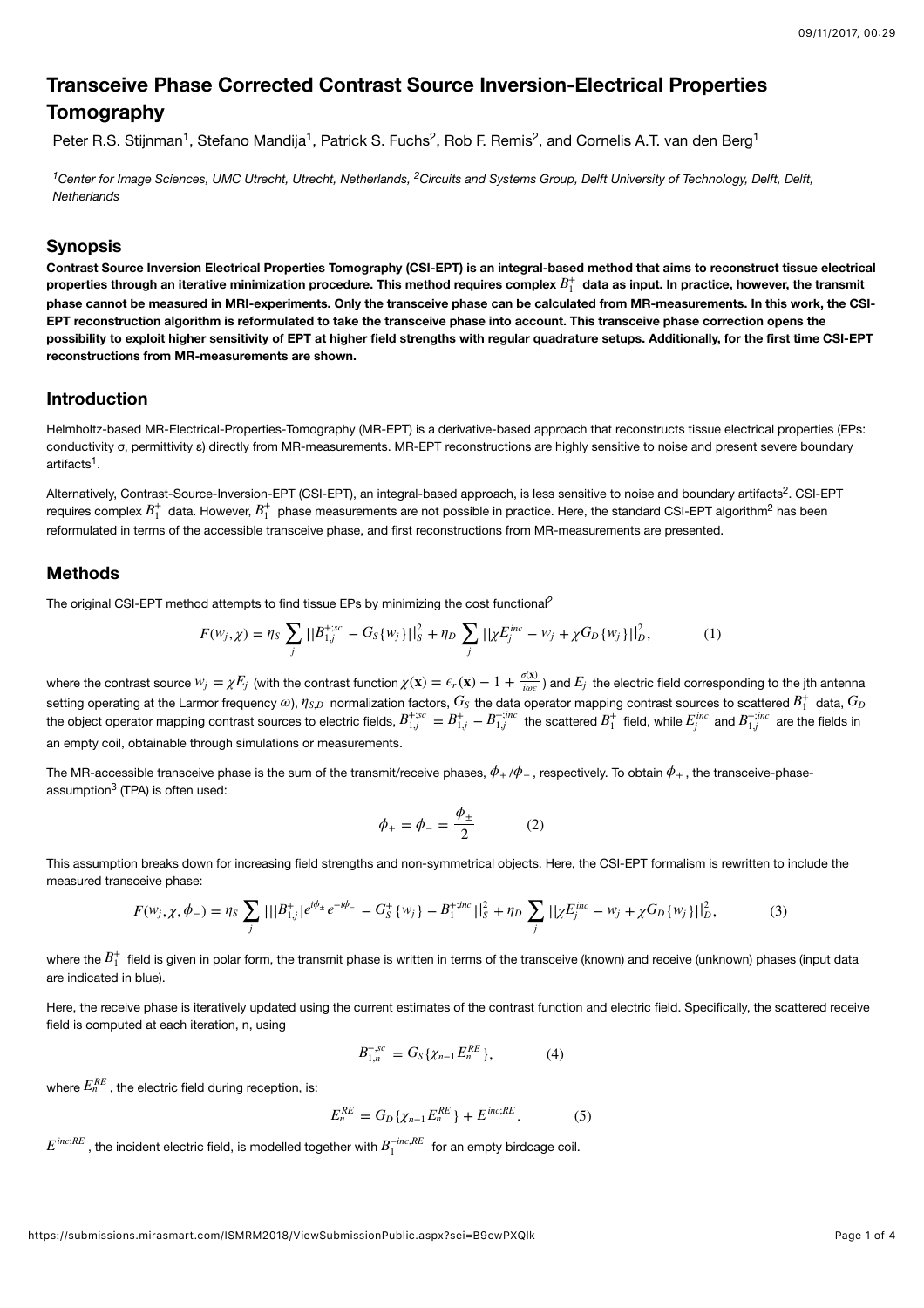# **Transceive Phase Corrected Contrast Source Inversion-Electrical Properties Tomography**

Peter R.S. Stijnman<sup>1</sup>, Stefano Mandija<sup>1</sup>, Patrick S. Fuchs<sup>2</sup>, Rob F. Remis<sup>2</sup>, and Cornelis A.T. van den Berg<sup>1</sup>

<sup>1</sup> Center for Image Sciences, UMC Utrecht, Utrecht, Netherlands, <sup>2</sup> Circuits and Systems Group, Delft University of Technology, Delft, Delft, *Netherlands*

#### **Synopsis**

**Contrast Source Inversion Electrical Properties Tomography (CSI-EPT) is an integral-based method that aims to reconstruct tissue electrical** properties through an iterative minimization procedure. This method requires complex  $B_1^+$  data as input. In practice, however, the transmit **phase cannot be measured in MRI-experiments. Only the transceive phase can be calculated from MR-measurements. In this work, the CSI-EPT reconstruction algorithm is reformulated to take the transceive phase into account. This transceive phase correction opens the possibility to exploit higher sensitivity of EPT at higher field strengths with regular quadrature setups. Additionally, for the first time CSI-EPT reconstructions from MR-measurements are shown.**

## **Introduction**

Helmholtz-based MR-Electrical-Properties-Tomography (MR-EPT) is a derivative-based approach that reconstructs tissue electrical properties (EPs: conductivity σ, permittivity ε) directly from MR-measurements. MR-EPT reconstructions are highly sensitive to noise and present severe boundary artifacts<sup>1</sup>.

Alternatively, Contrast-Source-Inversion-EPT (CSI-EPT), an integral-based approach, is less sensitive to noise and boundary artifacts<sup>2</sup>. CSI-EPT requires complex  $B_1^+$  data. However,  $B_1^+$  phase measurements are not possible in practice. Here, the standard CSI-EPT algorithm<sup>2</sup> has been reformulated in terms of the accessible transceive phase, and first reconstructions from MR-measurements are presented.

### **Methods**

The original CSI-EPT method attempts to find tissue EPs by minimizing the cost functional<sup>2</sup>

$$
F(w_j, \chi) = \eta_S \sum_j ||B_{1,j}^{+;sc} - G_S\{w_j\}||_S^2 + \eta_D \sum_j ||\chi E_j^{inc} - w_j + \chi G_D\{w_j\}||_D^2, \tag{1}
$$

where the contrast source  $w_j=\chi E_j$  (with the contrast function  $\chi(\mathbf{x})=\epsilon_r(\mathbf{x})-1+\frac{\sigma(\mathbf{x})}{i\omega\epsilon}$  ) and  $E_j$  the electric field corresponding to the jth antenna setting operating at the Larmor frequency  $\omega$ ),  $\eta_{S,D}$  normalization factors,  $G_S$  the data operator mapping contrast sources to scattered  $B_1^+$  data, the object operator mapping contrast sources to electric fields,  $B_{1,i}^{r,s,c} = B_{1,i}^{r}-B_{1,i}^{r,s'}$  the scattered  $B_1^{r}$  field, while  $E_i^{mc}$  and  $B_{1,i}^{r,sac}$  are the fields in an empty coil, obtainable through simulations or measurements.  $ω$ ),  $η_{S,D}$  normalization factors,  $G_S$  the data operator mapping contrast sources to scattered  $B_1^+$  data,  $G_D$  $B_{1,j}^{+;sc} = B_{1,j}^{+} - B_{1,j}^{+;inc}$  the scattered  $B_1^+$  field, while  $E_j^{inc}$  and  $B_{1,j}^{+;inc}$ 

The MR-accessible transceive phase is the sum of the transmit/receive phases,  $\phi_+/\phi_-$  , respectively. To obtain  $\phi_+$  , the transceive-phaseassumption<sup>3</sup> (TPA) is often used:

$$
\phi_+ = \phi_- = \frac{\phi_\pm}{2} \tag{2}
$$

This assumption breaks down for increasing field strengths and non-symmetrical objects. Here, the CSI-EPT formalism is rewritten to include the measured transceive phase:

$$
F(w_j, \chi, \phi_-) = \eta_S \sum_j ||B_{1,j}^+|e^{i\phi_+}e^{-i\phi_-} - G_S^+ \{w_j\} - B_1^{+inc}||_S^2 + \eta_D \sum_j ||\chi E_j^{inc} - w_j + \chi G_D \{w_j\}||_D^2, \tag{3}
$$

where the  $B_1^+$  field is given in polar form, the transmit phase is written in terms of the transceive (known) and receive (unknown) phases (input data are indicated in blue).

Here, the receive phase is iteratively updated using the current estimates of the contrast function and electric field. Specifically, the scattered receive field is computed at each iteration, n, using

$$
B_{1,n}^{-,sc} = G_S \{ \chi_{n-1} E_n^{RE} \}, \tag{4}
$$

where  $E_{n}^{RE}$  , the electric field during reception, is:

$$
E_n^{RE} = G_D \{ \chi_{n-1} E_n^{RE} \} + E^{inc;RE}.
$$
 (5)

 $E^{inc;RE}$  , the incident electric field, is modelled together with  $B_1^{-inc,RE}$  for an empty birdcage coil.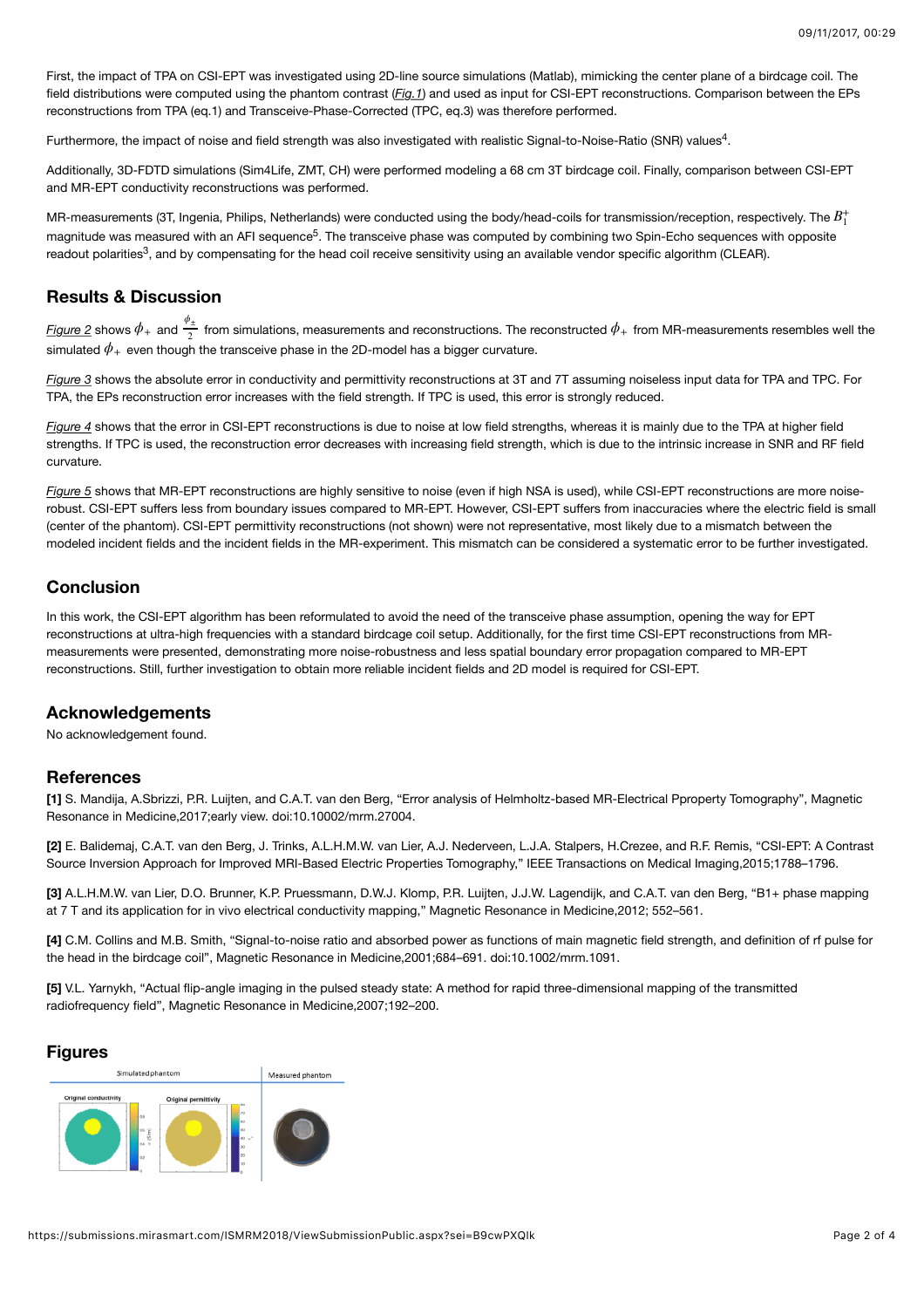First, the impact of TPA on CSI-EPT was investigated using 2D-line source simulations (Matlab), mimicking the center plane of a birdcage coil. The field distributions were computed using the phantom contrast (*Fig.1*) and used as input for CSI-EPT reconstructions. Comparison between the EPs reconstructions from TPA (eq.1) and Transceive-Phase-Corrected (TPC, eq.3) was therefore performed.

Furthermore, the impact of noise and field strength was also investigated with realistic Signal-to-Noise-Ratio (SNR) values<sup>4</sup>.

Additionally, 3D-FDTD simulations (Sim4Life, ZMT, CH) were performed modeling a 68 cm 3T birdcage coil. Finally, comparison between CSI-EPT and MR-EPT conductivity reconstructions was performed.

MR-measurements (3T, Ingenia, Philips, Netherlands) were conducted using the body/head-coils for transmission/reception, respectively. The  $B_1^{\pm}$ magnitude was measured with an AFI sequence<sup>5</sup>. The transceive phase was computed by combining two Spin-Echo sequences with opposite readout polarities<sup>3</sup>, and by compensating for the head coil receive sensitivity using an available vendor specific algorithm (CLEAR).

## **Results & Discussion**

 $\frac{f_{\rm i}^2}{2}$  shows  $\phi_+$  and  $\frac{\phi_{\pm}}{2}$  from simulations, measurements and reconstructions. The reconstructed  $\phi_+$  from MR-measurements resembles well the  $\mathsf{s}$ imulated  $\phi_+$  even though the transceive phase in the 2D-model has a bigger curvature.

*Figure 3* shows the absolute error in conductivity and permittivity reconstructions at 3T and 7T assuming noiseless input data for TPA and TPC. For TPA, the EPs reconstruction error increases with the field strength. If TPC is used, this error is strongly reduced.

*Figure 4* shows that the error in CSI-EPT reconstructions is due to noise at low field strengths, whereas it is mainly due to the TPA at higher field strengths. If TPC is used, the reconstruction error decreases with increasing field strength, which is due to the intrinsic increase in SNR and RF field curvature.

*Figure 5* shows that MR-EPT reconstructions are highly sensitive to noise (even if high NSA is used), while CSI-EPT reconstructions are more noiserobust. CSI-EPT suffers less from boundary issues compared to MR-EPT. However, CSI-EPT suffers from inaccuracies where the electric field is small (center of the phantom). CSI-EPT permittivity reconstructions (not shown) were not representative, most likely due to a mismatch between the modeled incident fields and the incident fields in the MR-experiment. This mismatch can be considered a systematic error to be further investigated.

# **Conclusion**

In this work, the CSI-EPT algorithm has been reformulated to avoid the need of the transceive phase assumption, opening the way for EPT reconstructions at ultra-high frequencies with a standard birdcage coil setup. Additionally, for the first time CSI-EPT reconstructions from MRmeasurements were presented, demonstrating more noise-robustness and less spatial boundary error propagation compared to MR-EPT reconstructions. Still, further investigation to obtain more reliable incident fields and 2D model is required for CSI-EPT.

## **Acknowledgements**

No acknowledgement found.

## **References**

**[1]** S. Mandija, A.Sbrizzi, P.R. Luijten, and C.A.T. van den Berg, "Error analysis of Helmholtz-based MR-Electrical Pproperty Tomography", Magnetic Resonance in Medicine,2017;early view. doi:10.10002/mrm.27004.

**[2]** E. Balidemaj, C.A.T. van den Berg, J. Trinks, A.L.H.M.W. van Lier, A.J. Nederveen, L.J.A. Stalpers, H.Crezee, and R.F. Remis, "CSI-EPT: A Contrast Source Inversion Approach for Improved MRI-Based Electric Properties Tomography," IEEE Transactions on Medical Imaging,2015;1788–1796.

**[3]** A.L.H.M.W. van Lier, D.O. Brunner, K.P. Pruessmann, D.W.J. Klomp, P.R. Luijten, J.J.W. Lagendijk, and C.A.T. van den Berg, "B1+ phase mapping at 7 T and its application for in vivo electrical conductivity mapping," Magnetic Resonance in Medicine,2012; 552–561.

**[4]** C.M. Collins and M.B. Smith, "Signal-to-noise ratio and absorbed power as functions of main magnetic field strength, and definition of rf pulse for the head in the birdcage coil", Magnetic Resonance in Medicine,2001;684–691. doi:10.1002/mrm.1091.

**[5]** V.L. Yarnykh, "Actual flip-angle imaging in the pulsed steady state: A method for rapid three-dimensional mapping of the transmitted radiofrequency field", Magnetic Resonance in Medicine,2007;192–200.

#### **Figures**

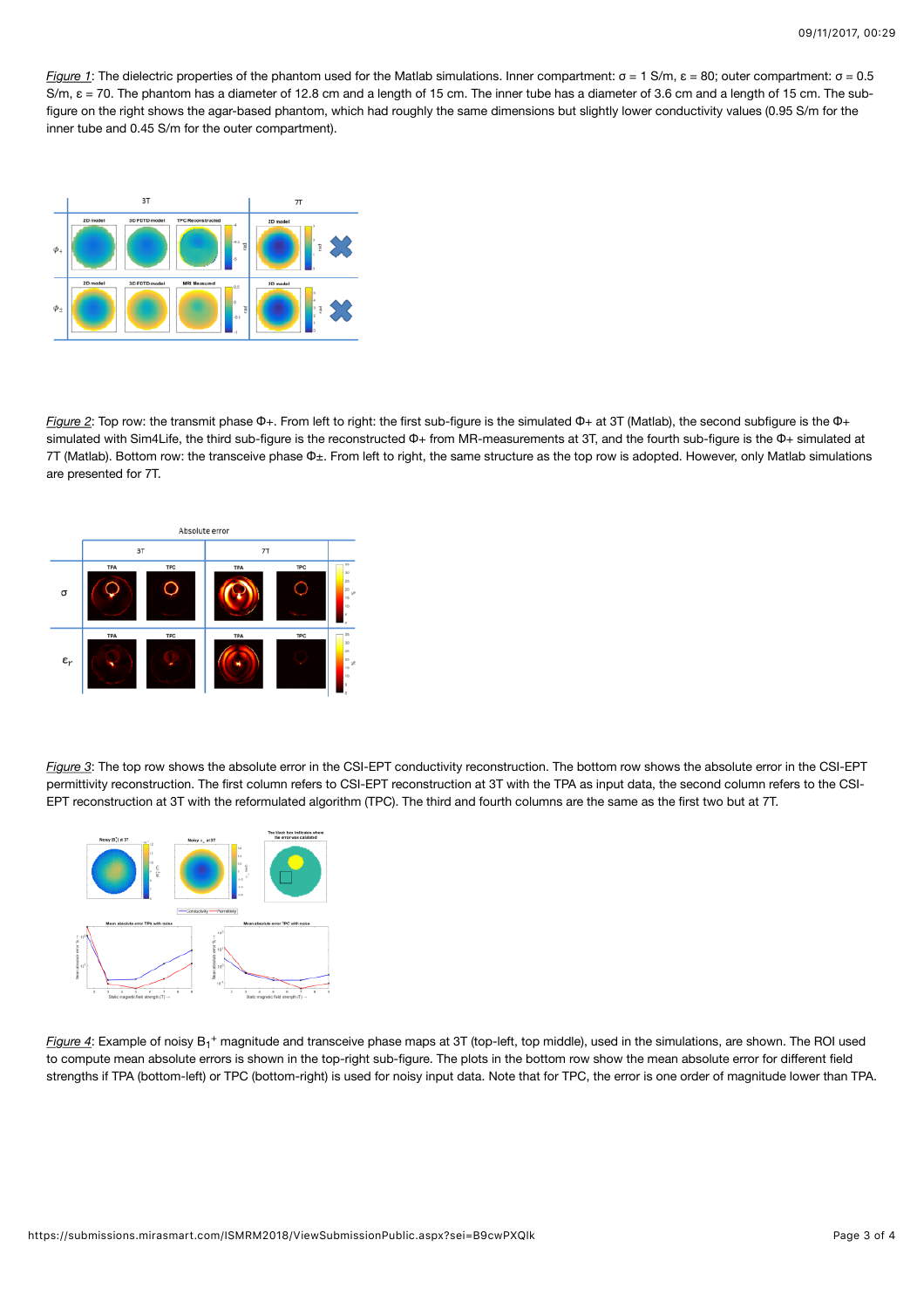*Figure 1*: The dielectric properties of the phantom used for the Matlab simulations. Inner compartment: σ = 1 S/m, ε = 80; outer compartment: σ = 0.5 S/m, ε = 70. The phantom has a diameter of 12.8 cm and a length of 15 cm. The inner tube has a diameter of 3.6 cm and a length of 15 cm. The subfigure on the right shows the agar-based phantom, which had roughly the same dimensions but slightly lower conductivity values (0.95 S/m for the inner tube and 0.45 S/m for the outer compartment).



*Figure 2*: Top row: the transmit phase Φ+. From left to right: the first sub-figure is the simulated Φ+ at 3T (Matlab), the second subfigure is the Φ+ simulated with Sim4Life, the third sub-figure is the reconstructed Φ+ from MR-measurements at 3T, and the fourth sub-figure is the Φ+ simulated at 7T (Matlab). Bottom row: the transceive phase Φ±. From left to right, the same structure as the top row is adopted. However, only Matlab simulations are presented for 7T.



*Figure 3*: The top row shows the absolute error in the CSI-EPT conductivity reconstruction. The bottom row shows the absolute error in the CSI-EPT permittivity reconstruction. The first column refers to CSI-EPT reconstruction at 3T with the TPA as input data, the second column refers to the CSI-EPT reconstruction at 3T with the reformulated algorithm (TPC). The third and fourth columns are the same as the first two but at 7T.



Figure 4: Example of noisy B<sub>1</sub><sup>+</sup> magnitude and transceive phase maps at 3T (top-left, top middle), used in the simulations, are shown. The ROI used to compute mean absolute errors is shown in the top-right sub-figure. The plots in the bottom row show the mean absolute error for different field strengths if TPA (bottom-left) or TPC (bottom-right) is used for noisy input data. Note that for TPC, the error is one order of magnitude lower than TPA.